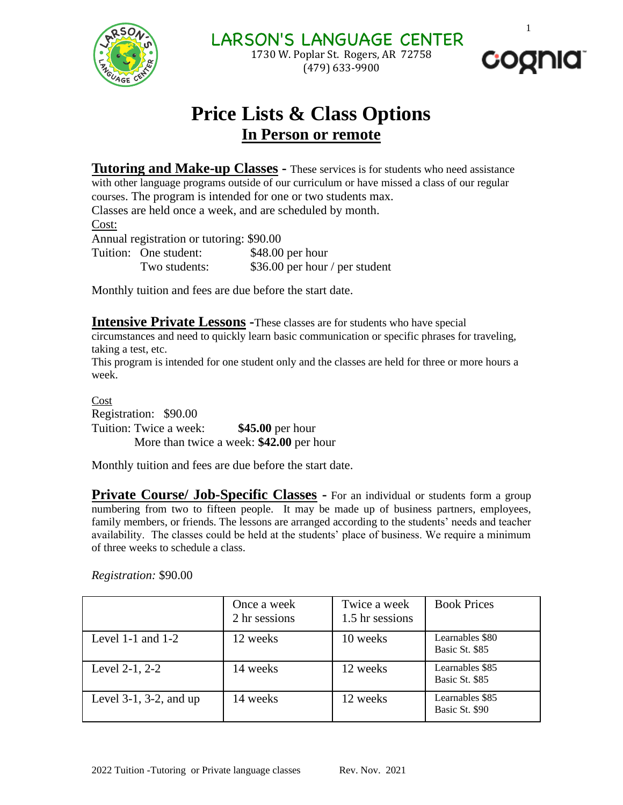

LARSON'S LANGUAGE CENTER 1730 W. Poplar St. Rogers, AR 72758 (479) 633-9900



1

## **Price Lists & Class Options In Person or remote**

**Tutoring and Make-up Classes -** These services is for students who need assistance with other language programs outside of our curriculum or have missed a class of our regular courses. The program is intended for one or two students max. Classes are held once a week, and are scheduled by month.

Cost:

Annual registration or tutoring: \$90.00

Tuition: One student: \$48.00 per hour Two students: \$36.00 per hour / per student

Monthly tuition and fees are due before the start date.

**Intensive Private Lessons -**These classes are for students who have special circumstances and need to quickly learn basic communication or specific phrases for traveling,

taking a test, etc. This program is intended for one student only and the classes are held for three or more hours a week.

Cost Registration: \$90.00 Tuition: Twice a week: **\$45.00** per hour More than twice a week: **\$42.00** per hour

Monthly tuition and fees are due before the start date.

**Private Course/ Job-Specific Classes -** For an individual or students form a group numbering from two to fifteen people. It may be made up of business partners, employees, family members, or friends. The lessons are arranged according to the students' needs and teacher availability. The classes could be held at the students' place of business. We require a minimum of three weeks to schedule a class.

|                              | Once a week<br>2 hr sessions | Twice a week<br>1.5 hr sessions | <b>Book Prices</b>                |
|------------------------------|------------------------------|---------------------------------|-----------------------------------|
| Level 1-1 and $1-2$          | 12 weeks                     | 10 weeks                        | Learnables \$80<br>Basic St. \$85 |
| Level 2-1, 2-2               | 14 weeks                     | 12 weeks                        | Learnables \$85<br>Basic St. \$85 |
| Level $3-1$ , $3-2$ , and up | 14 weeks                     | 12 weeks                        | Learnables \$85<br>Basic St. \$90 |

*Registration:* \$90.00